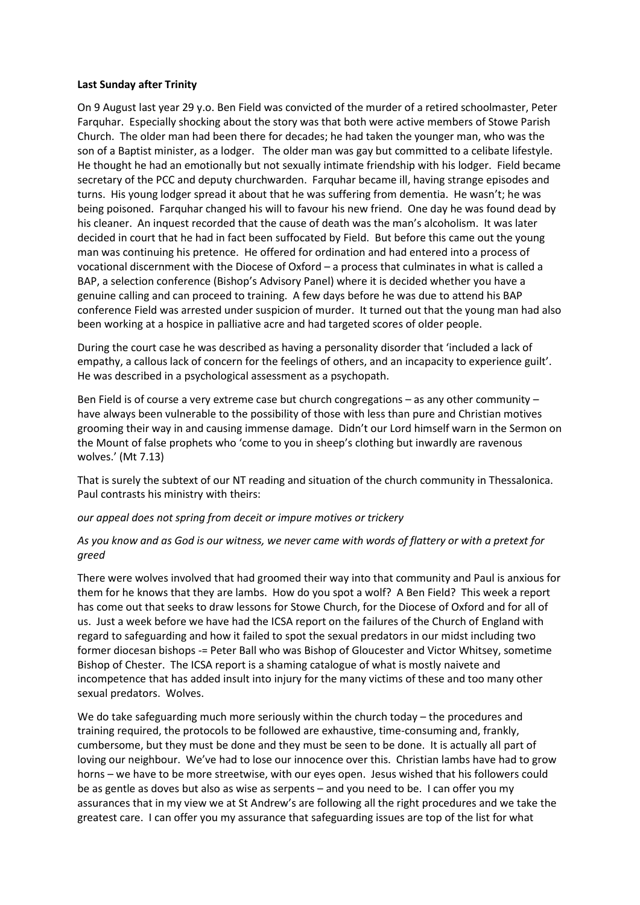## **Last Sunday after Trinity**

On 9 August last year 29 y.o. Ben Field was convicted of the murder of a retired schoolmaster, Peter Farquhar. Especially shocking about the story was that both were active members of Stowe Parish Church. The older man had been there for decades; he had taken the younger man, who was the son of a Baptist minister, as a lodger. The older man was gay but committed to a celibate lifestyle. He thought he had an emotionally but not sexually intimate friendship with his lodger. Field became secretary of the PCC and deputy churchwarden. Farquhar became ill, having strange episodes and turns. His young lodger spread it about that he was suffering from dementia. He wasn't; he was being poisoned. Farquhar changed his will to favour his new friend. One day he was found dead by his cleaner. An inquest recorded that the cause of death was the man's alcoholism. It was later decided in court that he had in fact been suffocated by Field. But before this came out the young man was continuing his pretence. He offered for ordination and had entered into a process of vocational discernment with the Diocese of Oxford – a process that culminates in what is called a BAP, a selection conference (Bishop's Advisory Panel) where it is decided whether you have a genuine calling and can proceed to training. A few days before he was due to attend his BAP conference Field was arrested under suspicion of murder. It turned out that the young man had also been working at a hospice in palliative acre and had targeted scores of older people.

During the court case he was described as having a personality disorder that 'included a lack of empathy, a callous lack of concern for the feelings of others, and an incapacity to experience guilt'. He was described in a psychological assessment as a psychopath.

Ben Field is of course a very extreme case but church congregations – as any other community – have always been vulnerable to the possibility of those with less than pure and Christian motives grooming their way in and causing immense damage. Didn't our Lord himself warn in the Sermon on the Mount of false prophets who 'come to you in sheep's clothing but inwardly are ravenous wolves.' (Mt 7.13)

That is surely the subtext of our NT reading and situation of the church community in Thessalonica. Paul contrasts his ministry with theirs:

## *our appeal does not spring from deceit or impure motives or trickery*

## *As you know and as God is our witness, we never came with words of flattery or with a pretext for greed*

There were wolves involved that had groomed their way into that community and Paul is anxious for them for he knows that they are lambs. How do you spot a wolf? A Ben Field? This week a report has come out that seeks to draw lessons for Stowe Church, for the Diocese of Oxford and for all of us. Just a week before we have had the ICSA report on the failures of the Church of England with regard to safeguarding and how it failed to spot the sexual predators in our midst including two former diocesan bishops -= Peter Ball who was Bishop of Gloucester and Victor Whitsey, sometime Bishop of Chester. The ICSA report is a shaming catalogue of what is mostly naivete and incompetence that has added insult into injury for the many victims of these and too many other sexual predators. Wolves.

We do take safeguarding much more seriously within the church today – the procedures and training required, the protocols to be followed are exhaustive, time-consuming and, frankly, cumbersome, but they must be done and they must be seen to be done. It is actually all part of loving our neighbour. We've had to lose our innocence over this. Christian lambs have had to grow horns – we have to be more streetwise, with our eyes open. Jesus wished that his followers could be as gentle as doves but also as wise as serpents – and you need to be. I can offer you my assurances that in my view we at St Andrew's are following all the right procedures and we take the greatest care. I can offer you my assurance that safeguarding issues are top of the list for what